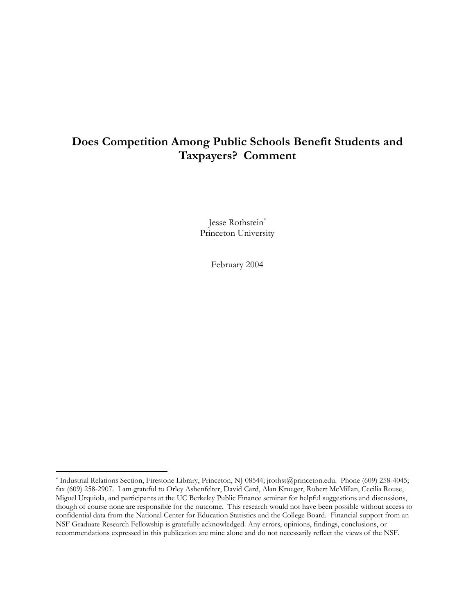# Does Competition Among Public Schools Benefit Students and Taxpayers? Comment

Jesse Rothstein\* Princeton University

February 2004

<sup>\*</sup> Industrial Relations Section, Firestone Library, Princeton, NJ 08544; jrothst@princeton.edu. Phone (609) 258-4045; fax (609) 258-2907. I am grateful to Orley Ashenfelter, David Card, Alan Krueger, Robert McMillan, Cecilia Rouse, Miguel Urquiola, and participants at the UC Berkeley Public Finance seminar for helpful suggestions and discussions, though of course none are responsible for the outcome. This research would not have been possible without access to confidential data from the National Center for Education Statistics and the College Board. Financial support from an NSF Graduate Research Fellowship is gratefully acknowledged. Any errors, opinions, findings, conclusions, or recommendations expressed in this publication are mine alone and do not necessarily reflect the views of the NSF.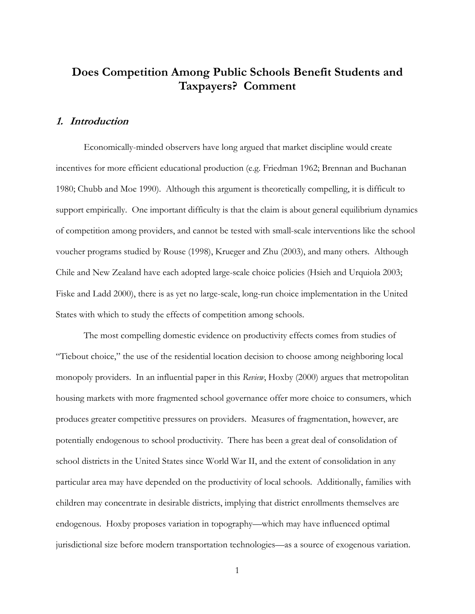# Does Competition Among Public Schools Benefit Students and Taxpayers? Comment

#### 1. Introduction

Economically-minded observers have long argued that market discipline would create incentives for more efficient educational production (e.g. Friedman 1962; Brennan and Buchanan 1980; Chubb and Moe 1990). Although this argument is theoretically compelling, it is difficult to support empirically. One important difficulty is that the claim is about general equilibrium dynamics of competition among providers, and cannot be tested with small-scale interventions like the school voucher programs studied by Rouse (1998), Krueger and Zhu (2003), and many others. Although Chile and New Zealand have each adopted large-scale choice policies (Hsieh and Urquiola 2003; Fiske and Ladd 2000), there is as yet no large-scale, long-run choice implementation in the United States with which to study the effects of competition among schools.

The most compelling domestic evidence on productivity effects comes from studies of "Tiebout choice," the use of the residential location decision to choose among neighboring local monopoly providers. In an influential paper in this Review, Hoxby (2000) argues that metropolitan housing markets with more fragmented school governance offer more choice to consumers, which produces greater competitive pressures on providers. Measures of fragmentation, however, are potentially endogenous to school productivity. There has been a great deal of consolidation of school districts in the United States since World War II, and the extent of consolidation in any particular area may have depended on the productivity of local schools. Additionally, families with children may concentrate in desirable districts, implying that district enrollments themselves are endogenous. Hoxby proposes variation in topography—which may have influenced optimal jurisdictional size before modern transportation technologies—as a source of exogenous variation.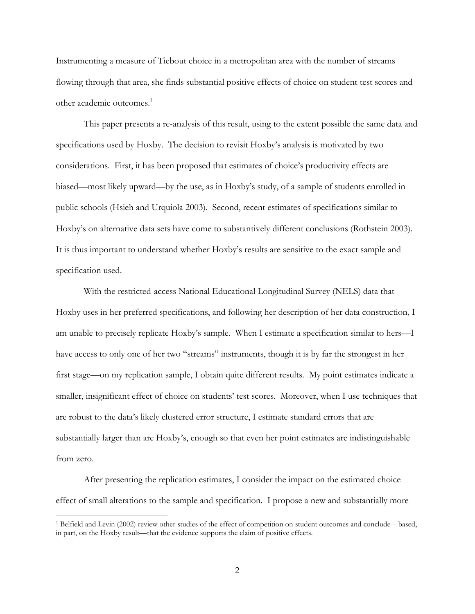Instrumenting a measure of Tiebout choice in a metropolitan area with the number of streams flowing through that area, she finds substantial positive effects of choice on student test scores and other academic outcomes.<sup>1</sup>

This paper presents a re-analysis of this result, using to the extent possible the same data and specifications used by Hoxby. The decision to revisit Hoxby's analysis is motivated by two considerations. First, it has been proposed that estimates of choice's productivity effects are biased—most likely upward—by the use, as in Hoxby's study, of a sample of students enrolled in public schools (Hsieh and Urquiola 2003). Second, recent estimates of specifications similar to Hoxby's on alternative data sets have come to substantively different conclusions (Rothstein 2003). It is thus important to understand whether Hoxby's results are sensitive to the exact sample and specification used.

With the restricted-access National Educational Longitudinal Survey (NELS) data that Hoxby uses in her preferred specifications, and following her description of her data construction, I am unable to precisely replicate Hoxby's sample. When I estimate a specification similar to hers—I have access to only one of her two "streams" instruments, though it is by far the strongest in her first stage—on my replication sample, I obtain quite different results. My point estimates indicate a smaller, insignificant effect of choice on students' test scores. Moreover, when I use techniques that are robust to the data's likely clustered error structure, I estimate standard errors that are substantially larger than are Hoxby's, enough so that even her point estimates are indistinguishable from zero.

After presenting the replication estimates, I consider the impact on the estimated choice effect of small alterations to the sample and specification. I propose a new and substantially more

<sup>&</sup>lt;sup>1</sup> Belfield and Levin (2002) review other studies of the effect of competition on student outcomes and conclude—based, in part, on the Hoxby result—that the evidence supports the claim of positive effects.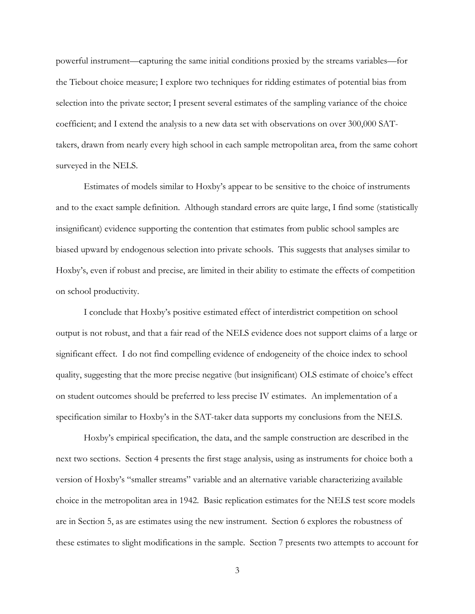powerful instrument—capturing the same initial conditions proxied by the streams variables—for the Tiebout choice measure; I explore two techniques for ridding estimates of potential bias from selection into the private sector; I present several estimates of the sampling variance of the choice coefficient; and I extend the analysis to a new data set with observations on over 300,000 SATtakers, drawn from nearly every high school in each sample metropolitan area, from the same cohort surveyed in the NELS.

Estimates of models similar to Hoxby's appear to be sensitive to the choice of instruments and to the exact sample definition. Although standard errors are quite large, I find some (statistically insignificant) evidence supporting the contention that estimates from public school samples are biased upward by endogenous selection into private schools. This suggests that analyses similar to Hoxby's, even if robust and precise, are limited in their ability to estimate the effects of competition on school productivity.

I conclude that Hoxby's positive estimated effect of interdistrict competition on school output is not robust, and that a fair read of the NELS evidence does not support claims of a large or significant effect. I do not find compelling evidence of endogeneity of the choice index to school quality, suggesting that the more precise negative (but insignificant) OLS estimate of choice's effect on student outcomes should be preferred to less precise IV estimates. An implementation of a specification similar to Hoxby's in the SAT-taker data supports my conclusions from the NELS.

Hoxby's empirical specification, the data, and the sample construction are described in the next two sections. Section 4 presents the first stage analysis, using as instruments for choice both a version of Hoxby's "smaller streams" variable and an alternative variable characterizing available choice in the metropolitan area in 1942. Basic replication estimates for the NELS test score models are in Section 5, as are estimates using the new instrument. Section 6 explores the robustness of these estimates to slight modifications in the sample. Section 7 presents two attempts to account for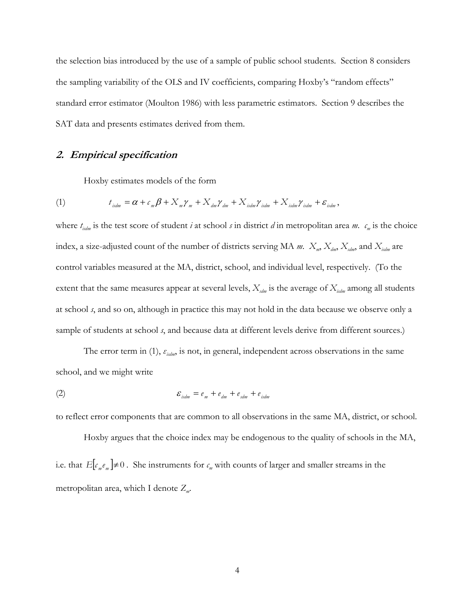the selection bias introduced by the use of a sample of public school students. Section 8 considers the sampling variability of the OLS and IV coefficients, comparing Hoxby's "random effects" standard error estimator (Moulton 1986) with less parametric estimators. Section 9 describes the SAT data and presents estimates derived from them.

# 2. Empirical specification

Hoxby estimates models of the form

(1) 
$$
t_{isdm} = \alpha + c_m \beta + X_m \gamma_m + X_{dm} \gamma_{dm} + X_{isdm} \gamma_{isdm} + X_{isdm} \gamma_{isdm} + \varepsilon_{isdm},
$$

where  $t_{isdm}$  is the test score of student *i* at school *s* in district *d* in metropolitan area *m*.  $c_m$  is the choice index, a size-adjusted count of the number of districts serving MA m.  $X_m$ ,  $X_{dm}$ ,  $X_{sdm}$ , and  $X_{isdm}$  are control variables measured at the MA, district, school, and individual level, respectively. (To the extent that the same measures appear at several levels,  $X_{\text{sdm}}$  is the average of  $X_{\text{sdm}}$  among all students at school s, and so on, although in practice this may not hold in the data because we observe only a sample of students at school s, and because data at different levels derive from different sources.)

The error term in (1),  $\varepsilon_{\text{isdm}}$ , is not, in general, independent across observations in the same school, and we might write

$$
\mathcal{E}_{isdm} = e_m + e_{dm} + e_{sdm} + e_{isdm}
$$

to reflect error components that are common to all observations in the same MA, district, or school.

Hoxby argues that the choice index may be endogenous to the quality of schools in the MA, i.e. that  $E[c_{m}e_{m}] \neq 0$ . She instruments for  $c_{m}$  with counts of larger and smaller streams in the metropolitan area, which I denote  $Z_m$ .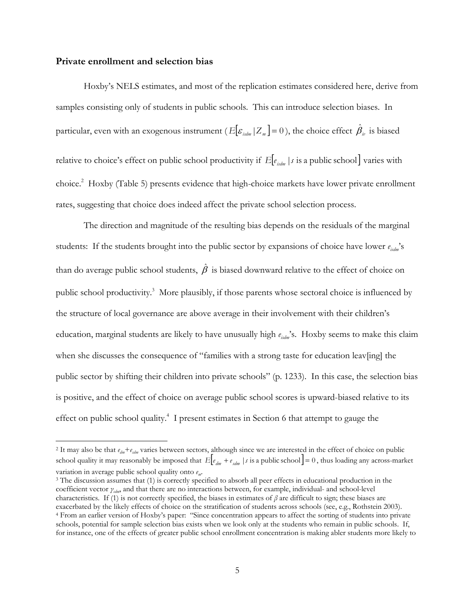#### Private enrollment and selection bias

 $\overline{a}$ 

Hoxby's NELS estimates, and most of the replication estimates considered here, derive from samples consisting only of students in public schools. This can introduce selection biases. In particular, even with an exogenous instrument (  $E[\pmb{\varepsilon}_{_{idm}}|Z_{_{m}}\pmb{]}=0$  ), the choice effect  $\hat{\pmb{\beta}}_{_{ir}}$  is biased relative to choice's effect on public school productivity if  $E[e_{i_{\text{sdm}}}|s]$  is a public school varies with choice.<sup>2</sup> Hoxby (Table 5) presents evidence that high-choice markets have lower private enrollment rates, suggesting that choice does indeed affect the private school selection process.

The direction and magnitude of the resulting bias depends on the residuals of the marginal students: If the students brought into the public sector by expansions of choice have lower  $e_{i\omega m}$ 's than do average public school students,  $\hat{\beta}$  is biased downward relative to the effect of choice on public school productivity.<sup>3</sup> More plausibly, if those parents whose sectoral choice is influenced by the structure of local governance are above average in their involvement with their children's education, marginal students are likely to have unusually high  $e_{i,dm}$ 's. Hoxby seems to make this claim when she discusses the consequence of "families with a strong taste for education leav[ing] the public sector by shifting their children into private schools" (p. 1233). In this case, the selection bias is positive, and the effect of choice on average public school scores is upward-biased relative to its effect on public school quality.<sup>4</sup> I present estimates in Section 6 that attempt to gauge the

<sup>&</sup>lt;sup>2</sup> It may also be that  $e_{dm} + e_{sdm}$  varies between sectors, although since we are interested in the effect of choice on public school quality it may reasonably be imposed that  $E\left[e_{dm} + e_{sdm}\mid s \text{ is a public school}\right] = 0$ , thus loading any across-market variation in average public school quality onto  $e_m$ .

<sup>&</sup>lt;sup>3</sup> The discussion assumes that (1) is correctly specified to absorb all peer effects in educational production in the coefficient vector  $γ_{\alpha l m}$ , and that there are no interactions between, for example, individual- and school-level characteristics. If (1) is not correctly specified, the biases in estimates of  $\beta$  are difficult to sign; these biases are exacerbated by the likely effects of choice on the stratification of students across schools (see, e.g., Rothstein 2003). 4 From an earlier version of Hoxby's paper: "Since concentration appears to affect the sorting of students into private schools, potential for sample selection bias exists when we look only at the students who remain in public schools. If, for instance, one of the effects of greater public school enrollment concentration is making abler students more likely to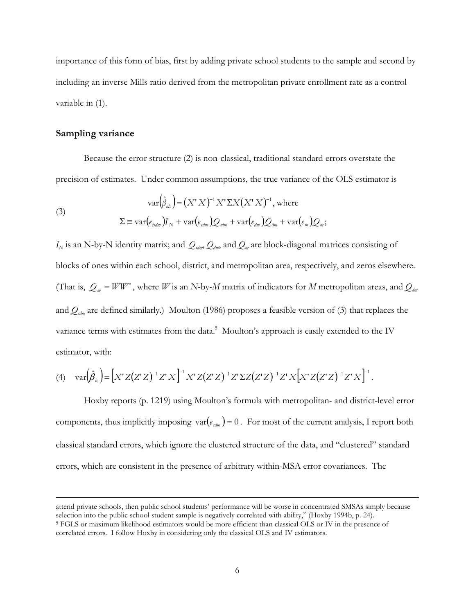importance of this form of bias, first by adding private school students to the sample and second by including an inverse Mills ratio derived from the metropolitan private enrollment rate as a control variable in (1).

#### Sampling variance

Because the error structure (2) is non-classical, traditional standard errors overstate the precision of estimates. Under common assumptions, the true variance of the OLS estimator is

(3)  
\n
$$
\text{var}(\hat{\beta}_{\text{ols}}) = (X'X)^{-1}X' \Sigma X (X'X)^{-1}, \text{ where}
$$
\n
$$
\Sigma \equiv \text{var}(e_{\text{isdm}})I_N + \text{var}(e_{\text{sdm}})Q_{\text{sdm}} + \text{var}(e_{\text{dm}})Q_{\text{dm}} + \text{var}(e_m)Q_m;
$$

 $I_N$  is an N-by-N identity matrix; and  $Q_{\sf sdm}$ ,  $Q_{\sf dmn}$  and  $Q_m$  are block-diagonal matrices consisting of blocks of ones within each school, district, and metropolitan area, respectively, and zeros elsewhere. (That is,  $Q_m = WW'$ , where W is an N-by-M matrix of indicators for M metropolitan areas, and  $Q_{dm}$ and  $Q_{\text{sdm}}$  are defined similarly.) Moulton (1986) proposes a feasible version of (3) that replaces the variance terms with estimates from the data.<sup>5</sup> Moulton's approach is easily extended to the IV estimator, with:

(4) 
$$
\text{var}(\hat{\beta}_w) = [X'Z(Z'Z)^{-1}Z'X]^{-1}X'Z(Z'Z)^{-1}Z' \Sigma Z(Z'Z)^{-1}Z'X[X'Z(Z'Z)^{-1}Z'X]^{-1}.
$$

Hoxby reports (p. 1219) using Moulton's formula with metropolitan- and district-level error components, thus implicitly imposing  $var(e_{\text{atm}}) = 0$ . For most of the current analysis, I report both classical standard errors, which ignore the clustered structure of the data, and "clustered" standard errors, which are consistent in the presence of arbitrary within-MSA error covariances. The

attend private schools, then public school students' performance will be worse in concentrated SMSAs simply because selection into the public school student sample is negatively correlated with ability," (Hoxby 1994b, p. 24). <sup>5</sup> FGLS or maximum likelihood estimators would be more efficient than classical OLS or IV in the presence of correlated errors. I follow Hoxby in considering only the classical OLS and IV estimators.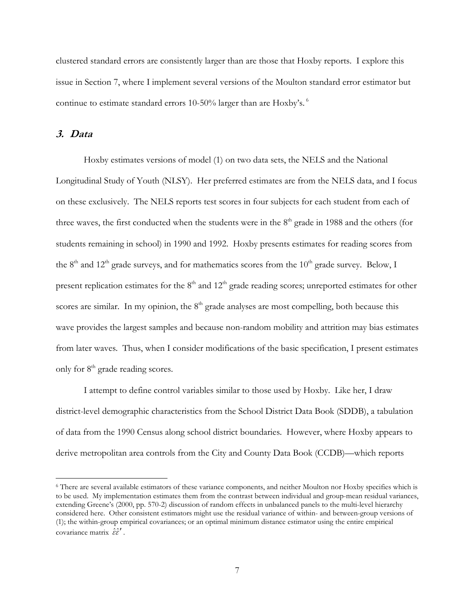clustered standard errors are consistently larger than are those that Hoxby reports. I explore this issue in Section 7, where I implement several versions of the Moulton standard error estimator but continue to estimate standard errors 10-50% larger than are Hoxby's.<sup>6</sup>

### 3. Data

 $\overline{a}$ 

Hoxby estimates versions of model (1) on two data sets, the NELS and the National Longitudinal Study of Youth (NLSY). Her preferred estimates are from the NELS data, and I focus on these exclusively. The NELS reports test scores in four subjects for each student from each of three waves, the first conducted when the students were in the  $8<sup>th</sup>$  grade in 1988 and the others (for students remaining in school) in 1990 and 1992. Hoxby presents estimates for reading scores from the  $8<sup>th</sup>$  and  $12<sup>th</sup>$  grade surveys, and for mathematics scores from the  $10<sup>th</sup>$  grade survey. Below, I present replication estimates for the  $8<sup>th</sup>$  and  $12<sup>th</sup>$  grade reading scores; unreported estimates for other scores are similar. In my opinion, the  $8<sup>th</sup>$  grade analyses are most compelling, both because this wave provides the largest samples and because non-random mobility and attrition may bias estimates from later waves. Thus, when I consider modifications of the basic specification, I present estimates only for  $8<sup>th</sup>$  grade reading scores.

I attempt to define control variables similar to those used by Hoxby. Like her, I draw district-level demographic characteristics from the School District Data Book (SDDB), a tabulation of data from the 1990 Census along school district boundaries. However, where Hoxby appears to derive metropolitan area controls from the City and County Data Book (CCDB)—which reports

<sup>6</sup> There are several available estimators of these variance components, and neither Moulton nor Hoxby specifies which is to be used. My implementation estimates them from the contrast between individual and group-mean residual variances, extending Greene's (2000, pp. 570-2) discussion of random effects in unbalanced panels to the multi-level hierarchy considered here. Other consistent estimators might use the residual variance of within- and between-group versions of (1); the within-group empirical covariances; or an optimal minimum distance estimator using the entire empirical covariance matrix  $\hat{\varepsilon} \hat{\varepsilon}'$ .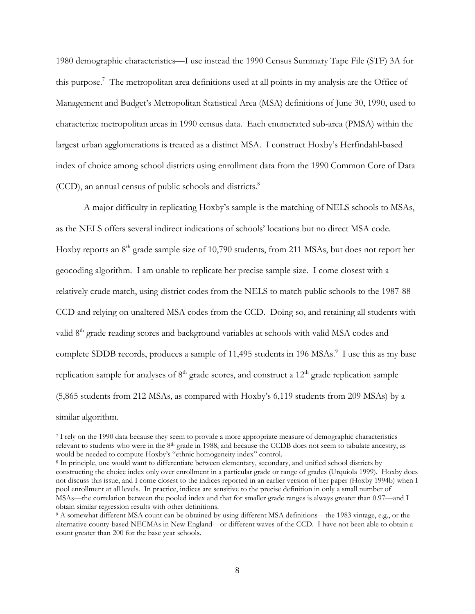1980 demographic characteristics—I use instead the 1990 Census Summary Tape File (STF) 3A for this purpose.<sup>7</sup> The metropolitan area definitions used at all points in my analysis are the Office of Management and Budget's Metropolitan Statistical Area (MSA) definitions of June 30, 1990, used to characterize metropolitan areas in 1990 census data. Each enumerated sub-area (PMSA) within the largest urban agglomerations is treated as a distinct MSA. I construct Hoxby's Herfindahl-based index of choice among school districts using enrollment data from the 1990 Common Core of Data (CCD), an annual census of public schools and districts.<sup>8</sup>

A major difficulty in replicating Hoxby's sample is the matching of NELS schools to MSAs, as the NELS offers several indirect indications of schools' locations but no direct MSA code. Hoxby reports an  $8<sup>th</sup>$  grade sample size of 10,790 students, from 211 MSAs, but does not report her geocoding algorithm. I am unable to replicate her precise sample size. I come closest with a relatively crude match, using district codes from the NELS to match public schools to the 1987-88 CCD and relying on unaltered MSA codes from the CCD. Doing so, and retaining all students with valid 8<sup>th</sup> grade reading scores and background variables at schools with valid MSA codes and complete SDDB records, produces a sample of 11,495 students in 196 MSAs.<sup>9</sup> I use this as my base replication sample for analyses of  $8<sup>th</sup>$  grade scores, and construct a 12<sup>th</sup> grade replication sample (5,865 students from 212 MSAs, as compared with Hoxby's 6,119 students from 209 MSAs) by a similar algorithm.

<sup>7</sup> I rely on the 1990 data because they seem to provide a more appropriate measure of demographic characteristics relevant to students who were in the 8th grade in 1988, and because the CCDB does not seem to tabulate ancestry, as would be needed to compute Hoxby's "ethnic homogeneity index" control.

<sup>8</sup> In principle, one would want to differentiate between elementary, secondary, and unified school districts by constructing the choice index only over enrollment in a particular grade or range of grades (Urquiola 1999). Hoxby does not discuss this issue, and I come closest to the indices reported in an earlier version of her paper (Hoxby 1994b) when I pool enrollment at all levels. In practice, indices are sensitive to the precise definition in only a small number of MSAs—the correlation between the pooled index and that for smaller grade ranges is always greater than 0.97—and I obtain similar regression results with other definitions.

<sup>9</sup> A somewhat different MSA count can be obtained by using different MSA definitions—the 1983 vintage, e.g., or the alternative county-based NECMAs in New England—or different waves of the CCD. I have not been able to obtain a count greater than 200 for the base year schools.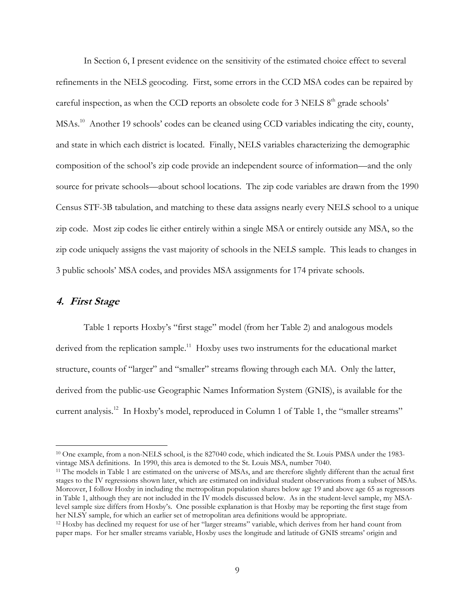In Section 6, I present evidence on the sensitivity of the estimated choice effect to several refinements in the NELS geocoding. First, some errors in the CCD MSA codes can be repaired by careful inspection, as when the CCD reports an obsolete code for  $3$  NELS  $8<sup>th</sup>$  grade schools' MSAs.<sup>10</sup> Another 19 schools' codes can be cleaned using CCD variables indicating the city, county, and state in which each district is located. Finally, NELS variables characterizing the demographic composition of the school's zip code provide an independent source of information—and the only source for private schools—about school locations. The zip code variables are drawn from the 1990 Census STF-3B tabulation, and matching to these data assigns nearly every NELS school to a unique zip code. Most zip codes lie either entirely within a single MSA or entirely outside any MSA, so the zip code uniquely assigns the vast majority of schools in the NELS sample. This leads to changes in 3 public schools' MSA codes, and provides MSA assignments for 174 private schools.

### 4. First Stage

 $\overline{a}$ 

Table 1 reports Hoxby's "first stage" model (from her Table 2) and analogous models derived from the replication sample.<sup>11</sup> Hoxby uses two instruments for the educational market structure, counts of "larger" and "smaller" streams flowing through each MA. Only the latter, derived from the public-use Geographic Names Information System (GNIS), is available for the current analysis.<sup>12</sup> In Hoxby's model, reproduced in Column 1 of Table 1, the "smaller streams"

<sup>&</sup>lt;sup>10</sup> One example, from a non-NELS school, is the 827040 code, which indicated the St. Louis PMSA under the 1983vintage MSA definitions. In 1990, this area is demoted to the St. Louis MSA, number 7040.

<sup>&</sup>lt;sup>11</sup> The models in Table 1 are estimated on the universe of MSAs, and are therefore slightly different than the actual first stages to the IV regressions shown later, which are estimated on individual student observations from a subset of MSAs. Moreover, I follow Hoxby in including the metropolitan population shares below age 19 and above age 65 as regressors in Table 1, although they are not included in the IV models discussed below. As in the student-level sample, my MSAlevel sample size differs from Hoxby's. One possible explanation is that Hoxby may be reporting the first stage from her NLSY sample, for which an earlier set of metropolitan area definitions would be appropriate.

<sup>12</sup> Hoxby has declined my request for use of her "larger streams" variable, which derives from her hand count from paper maps. For her smaller streams variable, Hoxby uses the longitude and latitude of GNIS streams' origin and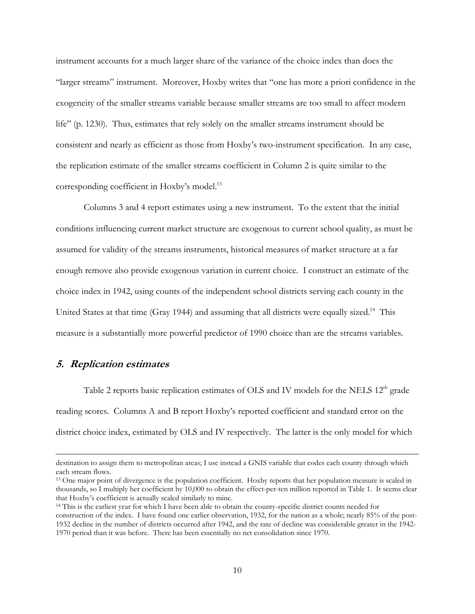instrument accounts for a much larger share of the variance of the choice index than does the "larger streams" instrument. Moreover, Hoxby writes that "one has more a priori confidence in the exogeneity of the smaller streams variable because smaller streams are too small to affect modern life" (p. 1230). Thus, estimates that rely solely on the smaller streams instrument should be consistent and nearly as efficient as those from Hoxby's two-instrument specification. In any case, the replication estimate of the smaller streams coefficient in Column 2 is quite similar to the corresponding coefficient in Hoxby's model.<sup>13</sup>

Columns 3 and 4 report estimates using a new instrument. To the extent that the initial conditions influencing current market structure are exogenous to current school quality, as must be assumed for validity of the streams instruments, historical measures of market structure at a far enough remove also provide exogenous variation in current choice. I construct an estimate of the choice index in 1942, using counts of the independent school districts serving each county in the United States at that time (Gray 1944) and assuming that all districts were equally sized.<sup>14</sup> This measure is a substantially more powerful predictor of 1990 choice than are the streams variables.

# 5. Replication estimates

 $\overline{a}$ 

Table 2 reports basic replication estimates of OLS and IV models for the NELS  $12<sup>th</sup>$  grade reading scores. Columns A and B report Hoxby's reported coefficient and standard error on the district choice index, estimated by OLS and IV respectively. The latter is the only model for which

destination to assign them to metropolitan areas; I use instead a GNIS variable that codes each county through which each stream flows.

<sup>&</sup>lt;sup>13</sup> One major point of divergence is the population coefficient. Hoxby reports that her population measure is scaled in thousands, so I multiply her coefficient by 10,000 to obtain the effect-per-ten million reported in Table 1. It seems clear that Hoxby's coefficient is actually scaled similarly to mine.

<sup>14</sup> This is the earliest year for which I have been able to obtain the county-specific district counts needed for construction of the index. I have found one earlier observation, 1932, for the nation as a whole; nearly 85% of the post-1932 decline in the number of districts occurred after 1942, and the rate of decline was considerable greater in the 1942- 1970 period than it was before. There has been essentially no net consolidation since 1970.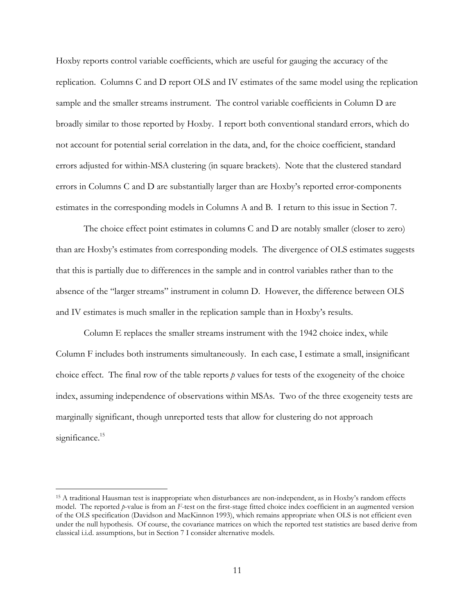Hoxby reports control variable coefficients, which are useful for gauging the accuracy of the replication. Columns C and D report OLS and IV estimates of the same model using the replication sample and the smaller streams instrument. The control variable coefficients in Column D are broadly similar to those reported by Hoxby. I report both conventional standard errors, which do not account for potential serial correlation in the data, and, for the choice coefficient, standard errors adjusted for within-MSA clustering (in square brackets). Note that the clustered standard errors in Columns C and D are substantially larger than are Hoxby's reported error-components estimates in the corresponding models in Columns A and B. I return to this issue in Section 7.

The choice effect point estimates in columns C and D are notably smaller (closer to zero) than are Hoxby's estimates from corresponding models. The divergence of OLS estimates suggests that this is partially due to differences in the sample and in control variables rather than to the absence of the "larger streams" instrument in column D. However, the difference between OLS and IV estimates is much smaller in the replication sample than in Hoxby's results.

Column E replaces the smaller streams instrument with the 1942 choice index, while Column F includes both instruments simultaneously. In each case, I estimate a small, insignificant choice effect. The final row of the table reports  $p$  values for tests of the exogeneity of the choice index, assuming independence of observations within MSAs. Two of the three exogeneity tests are marginally significant, though unreported tests that allow for clustering do not approach significance.<sup>15</sup>

<sup>15</sup> A traditional Hausman test is inappropriate when disturbances are non-independent, as in Hoxby's random effects model. The reported  $p$ -value is from an  $F$ -test on the first-stage fitted choice index coefficient in an augmented version of the OLS specification (Davidson and MacKinnon 1993), which remains appropriate when OLS is not efficient even under the null hypothesis. Of course, the covariance matrices on which the reported test statistics are based derive from classical i.i.d. assumptions, but in Section 7 I consider alternative models.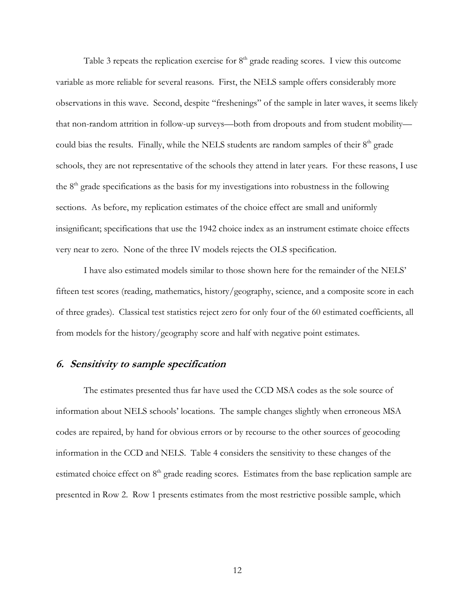Table 3 repeats the replication exercise for  $8<sup>th</sup>$  grade reading scores. I view this outcome variable as more reliable for several reasons. First, the NELS sample offers considerably more observations in this wave. Second, despite "freshenings" of the sample in later waves, it seems likely that non-random attrition in follow-up surveys—both from dropouts and from student mobility could bias the results. Finally, while the NELS students are random samples of their  $8<sup>th</sup>$  grade schools, they are not representative of the schools they attend in later years. For these reasons, I use the  $8<sup>th</sup>$  grade specifications as the basis for my investigations into robustness in the following sections. As before, my replication estimates of the choice effect are small and uniformly insignificant; specifications that use the 1942 choice index as an instrument estimate choice effects very near to zero. None of the three IV models rejects the OLS specification.

I have also estimated models similar to those shown here for the remainder of the NELS' fifteen test scores (reading, mathematics, history/geography, science, and a composite score in each of three grades). Classical test statistics reject zero for only four of the 60 estimated coefficients, all from models for the history/geography score and half with negative point estimates.

## 6. Sensitivity to sample specification

The estimates presented thus far have used the CCD MSA codes as the sole source of information about NELS schools' locations. The sample changes slightly when erroneous MSA codes are repaired, by hand for obvious errors or by recourse to the other sources of geocoding information in the CCD and NELS. Table 4 considers the sensitivity to these changes of the estimated choice effect on 8<sup>th</sup> grade reading scores. Estimates from the base replication sample are presented in Row 2. Row 1 presents estimates from the most restrictive possible sample, which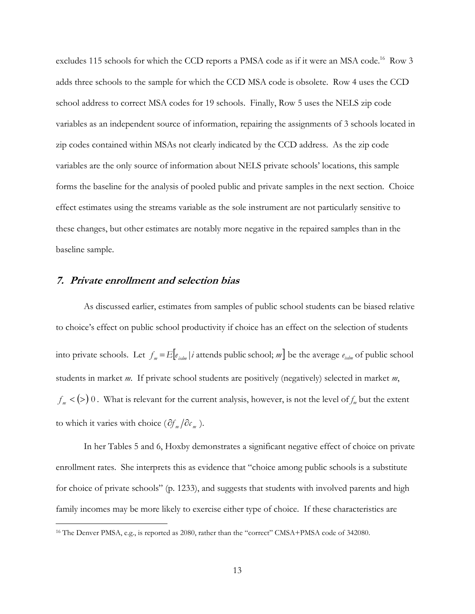excludes 115 schools for which the CCD reports a PMSA code as if it were an MSA code.<sup>16</sup> Row 3 adds three schools to the sample for which the CCD MSA code is obsolete. Row 4 uses the CCD school address to correct MSA codes for 19 schools. Finally, Row 5 uses the NELS zip code variables as an independent source of information, repairing the assignments of 3 schools located in zip codes contained within MSAs not clearly indicated by the CCD address. As the zip code variables are the only source of information about NELS private schools' locations, this sample forms the baseline for the analysis of pooled public and private samples in the next section. Choice effect estimates using the streams variable as the sole instrument are not particularly sensitive to these changes, but other estimates are notably more negative in the repaired samples than in the baseline sample.

### 7. Private enrollment and selection bias

As discussed earlier, estimates from samples of public school students can be biased relative to choice's effect on public school productivity if choice has an effect on the selection of students into private schools. Let  $f_m = E[e_{idm} | i$  attends public school; m be the average  $e_{idm}$  of public school students in market m. If private school students are positively (negatively) selected in market m,  $f_m$  < (>) 0. What is relevant for the current analysis, however, is not the level of  $f_m$  but the extent to which it varies with choice  $(\partial f_m / \partial c_m)$ .

In her Tables 5 and 6, Hoxby demonstrates a significant negative effect of choice on private enrollment rates. She interprets this as evidence that "choice among public schools is a substitute for choice of private schools" (p. 1233), and suggests that students with involved parents and high family incomes may be more likely to exercise either type of choice. If these characteristics are

<sup>&</sup>lt;sup>16</sup> The Denver PMSA, e.g., is reported as 2080, rather than the "correct" CMSA+PMSA code of 342080.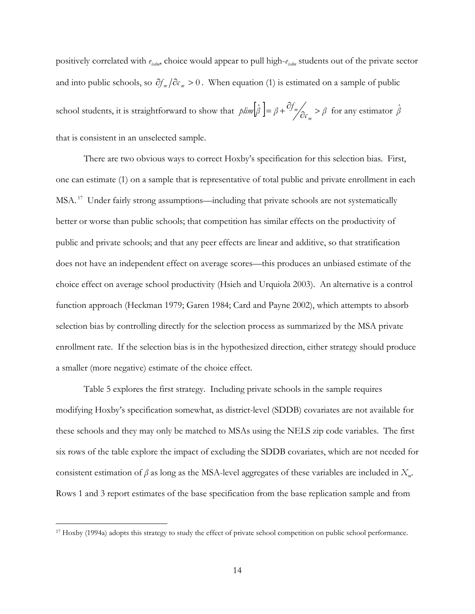positively correlated with  $e_{isdm}$ , choice would appear to pull high- $e_{isdm}$  students out of the private sector and into public schools, so  $\partial f_m / \partial c_m > 0$ . When equation (1) is estimated on a sample of public school students, it is straightforward to show that  $plim[\beta] = \beta + \frac{cJ}{d\sigma_{m}} > \beta$ plim $\left[\hat{\beta}\right] = \beta + \frac{\partial f_m}{\partial c_m}$  $\frac{m}{\sigma_{\rm c}}$  >  $\hat{\beta}$  =  $\beta + \frac{\partial f_{\nu}}{\partial c}$  >  $\beta$  for any estimator  $\hat{\beta}$ that is consistent in an unselected sample.

There are two obvious ways to correct Hoxby's specification for this selection bias. First, one can estimate (1) on a sample that is representative of total public and private enrollment in each MSA.<sup>17</sup> Under fairly strong assumptions—including that private schools are not systematically better or worse than public schools; that competition has similar effects on the productivity of public and private schools; and that any peer effects are linear and additive, so that stratification does not have an independent effect on average scores—this produces an unbiased estimate of the choice effect on average school productivity (Hsieh and Urquiola 2003). An alternative is a control function approach (Heckman 1979; Garen 1984; Card and Payne 2002), which attempts to absorb selection bias by controlling directly for the selection process as summarized by the MSA private enrollment rate. If the selection bias is in the hypothesized direction, either strategy should produce a smaller (more negative) estimate of the choice effect.

Table 5 explores the first strategy. Including private schools in the sample requires modifying Hoxby's specification somewhat, as district-level (SDDB) covariates are not available for these schools and they may only be matched to MSAs using the NELS zip code variables. The first six rows of the table explore the impact of excluding the SDDB covariates, which are not needed for consistent estimation of  $\beta$  as long as the MSA-level aggregates of these variables are included in  $X_m$ . Rows 1 and 3 report estimates of the base specification from the base replication sample and from

<sup>17</sup> Hoxby (1994a) adopts this strategy to study the effect of private school competition on public school performance.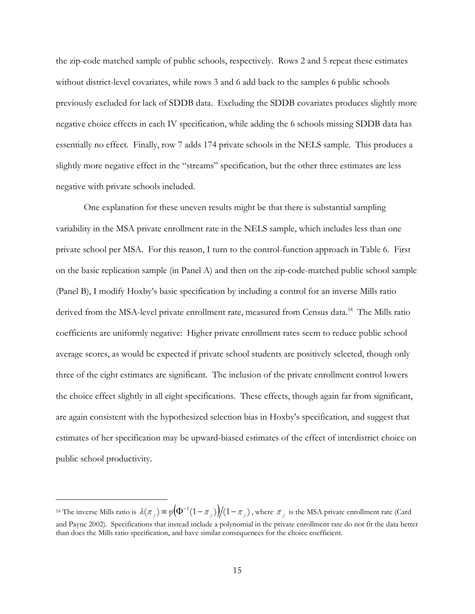the zip-code matched sample of public schools, respectively. Rows 2 and 5 repeat these estimates without district-level covariates, while rows 3 and 6 add back to the samples 6 public schools previously excluded for lack of SDDB data. Excluding the SDDB covariates produces slightly more negative choice effects in each IV specification, while adding the 6 schools missing SDDB data has essentially no effect. Finally, row 7 adds 174 private schools in the NELS sample. This produces a slightly more negative effect in the "streams" specification, but the other three estimates are less negative with private schools included.

One explanation for these uneven results might be that there is substantial sampling variability in the MSA private enrollment rate in the NELS sample, which includes less than one private school per MSA. For this reason, I turn to the control-function approach in Table 6. First on the basic replication sample (in Panel A) and then on the zip-code-matched public school sample (Panel B), I modify Hoxby's basic specification by including a control for an inverse Mills ratio derived from the MSA-level private enrollment rate, measured from Census data.<sup>18</sup> The Mills ratio coefficients are uniformly negative: Higher private enrollment rates seem to reduce public school average scores, as would be expected if private school students are positively selected, though only three of the eight estimates are significant. The inclusion of the private enrollment control lowers the choice effect slightly in all eight specifications. These effects, though again far from significant, are again consistent with the hypothesized selection bias in Hoxby's specification, and suggest that estimates of her specification may be upward-biased estimates of the effect of interdistrict choice on public school productivity.

<sup>&</sup>lt;sup>18</sup> The inverse Mills ratio is  $\lambda(\pi_i) \equiv \varphi(\Phi^{-1}(1-\pi_i)) / (1-\pi_i)$  $\lambda(\pi_j) \equiv \varphi \big(\Phi^{-1}(1-\pi_j)\big) \big/ (1-\pi_j)$ , where  $\pi_j$  is the MSA private enrollment rate (Card and Payne 2002). Specifications that instead include a polynomial in the private enrollment rate do not fit the data better than does the Mills ratio specification, and have similar consequences for the choice coefficient.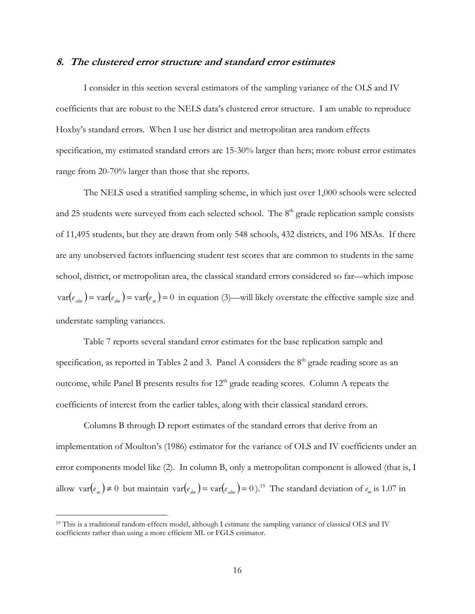### 8. The clustered error structure and standard error estimates

I consider in this section several estimators of the sampling variance of the OLS and IV coefficients that are robust to the NELS data's clustered error structure. I am unable to reproduce Hoxby's standard errors. When I use her district and metropolitan area random effects specification, my estimated standard errors are 15-30% larger than hers; more robust error estimates range from 20-70% larger than those that she reports.

The NELS used a stratified sampling scheme, in which just over 1,000 schools were selected and 25 students were surveyed from each selected school. The  $8<sup>th</sup>$  grade replication sample consists of 11,495 students, but they are drawn from only 548 schools, 432 districts, and 196 MSAs. If there are any unobserved factors influencing student test scores that are common to students in the same school, district, or metropolitan area, the classical standard errors considered so far—which impose  $var(e_{\text{adm}}) = var(e_{\text{dm}}) = var(e_{\text{m}}) = 0$  in equation (3)—will likely overstate the effective sample size and understate sampling variances.

Table 7 reports several standard error estimates for the base replication sample and specification, as reported in Tables 2 and 3. Panel A considers the  $8<sup>th</sup>$  grade reading score as an outcome, while Panel B presents results for  $12<sup>th</sup>$  grade reading scores. Column A repeats the coefficients of interest from the earlier tables, along with their classical standard errors.

Columns B through D report estimates of the standard errors that derive from an implementation of Moulton's (1986) estimator for the variance of OLS and IV coefficients under an error components model like (2). In column B, only a metropolitan component is allowed (that is, I allow  $var(e_m) \neq 0$  but maintain  $var(e_{dm}) = var(e_{sdm}) = 0$ .<sup>19</sup> The standard deviation of  $e_m$  is 1.07 in

<sup>&</sup>lt;sup>19</sup> This is a traditional random-effects model, although I estimate the sampling variance of classical OLS and IV coefficients rather than using a more efficient ML or FGLS estimator.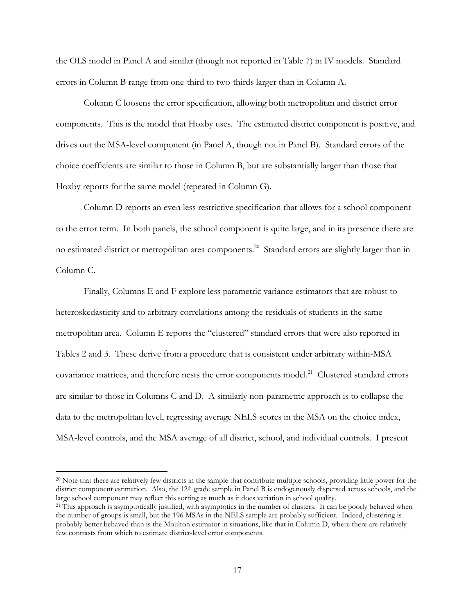the OLS model in Panel A and similar (though not reported in Table 7) in IV models. Standard errors in Column B range from one-third to two-thirds larger than in Column A.

Column C loosens the error specification, allowing both metropolitan and district error components. This is the model that Hoxby uses. The estimated district component is positive, and drives out the MSA-level component (in Panel A, though not in Panel B). Standard errors of the choice coefficients are similar to those in Column B, but are substantially larger than those that Hoxby reports for the same model (repeated in Column G).

Column D reports an even less restrictive specification that allows for a school component to the error term. In both panels, the school component is quite large, and in its presence there are no estimated district or metropolitan area components.<sup>20</sup> Standard errors are slightly larger than in Column C.

Finally, Columns E and F explore less parametric variance estimators that are robust to heteroskedasticity and to arbitrary correlations among the residuals of students in the same metropolitan area. Column E reports the "clustered" standard errors that were also reported in Tables 2 and 3. These derive from a procedure that is consistent under arbitrary within-MSA covariance matrices, and therefore nests the error components model.<sup>21</sup> Clustered standard errors are similar to those in Columns C and D. A similarly non-parametric approach is to collapse the data to the metropolitan level, regressing average NELS scores in the MSA on the choice index, MSA-level controls, and the MSA average of all district, school, and individual controls. I present

<sup>&</sup>lt;sup>20</sup> Note that there are relatively few districts in the sample that contribute multiple schools, providing little power for the district component estimation. Also, the 12<sup>th</sup> grade sample in Panel B is endogenously dispersed across schools, and the large school component may reflect this sorting as much as it does variation in school quality.

<sup>&</sup>lt;sup>21</sup> This approach is asymptotically justified, with asymptotics in the number of clusters. It can be poorly behaved when the number of groups is small, but the 196 MSAs in the NELS sample are probably sufficient. Indeed, clustering is probably better behaved than is the Moulton estimator in situations, like that in Column D, where there are relatively few contrasts from which to estimate district-level error components.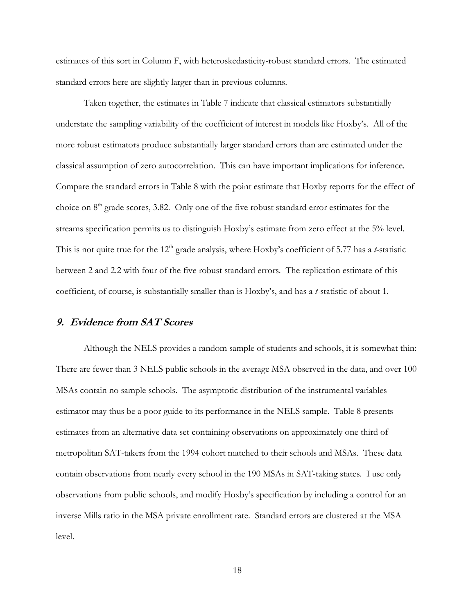estimates of this sort in Column F, with heteroskedasticity-robust standard errors. The estimated standard errors here are slightly larger than in previous columns.

Taken together, the estimates in Table 7 indicate that classical estimators substantially understate the sampling variability of the coefficient of interest in models like Hoxby's. All of the more robust estimators produce substantially larger standard errors than are estimated under the classical assumption of zero autocorrelation. This can have important implications for inference. Compare the standard errors in Table 8 with the point estimate that Hoxby reports for the effect of choice on  $8<sup>th</sup>$  grade scores, 3.82. Only one of the five robust standard error estimates for the streams specification permits us to distinguish Hoxby's estimate from zero effect at the 5% level. This is not quite true for the  $12<sup>th</sup>$  grade analysis, where Hoxby's coefficient of 5.77 has a t-statistic between 2 and 2.2 with four of the five robust standard errors. The replication estimate of this coefficient, of course, is substantially smaller than is Hoxby's, and has a  $t$ -statistic of about 1.

### 9. Evidence from SAT Scores

Although the NELS provides a random sample of students and schools, it is somewhat thin: There are fewer than 3 NELS public schools in the average MSA observed in the data, and over 100 MSAs contain no sample schools. The asymptotic distribution of the instrumental variables estimator may thus be a poor guide to its performance in the NELS sample. Table 8 presents estimates from an alternative data set containing observations on approximately one third of metropolitan SAT-takers from the 1994 cohort matched to their schools and MSAs. These data contain observations from nearly every school in the 190 MSAs in SAT-taking states. I use only observations from public schools, and modify Hoxby's specification by including a control for an inverse Mills ratio in the MSA private enrollment rate. Standard errors are clustered at the MSA level.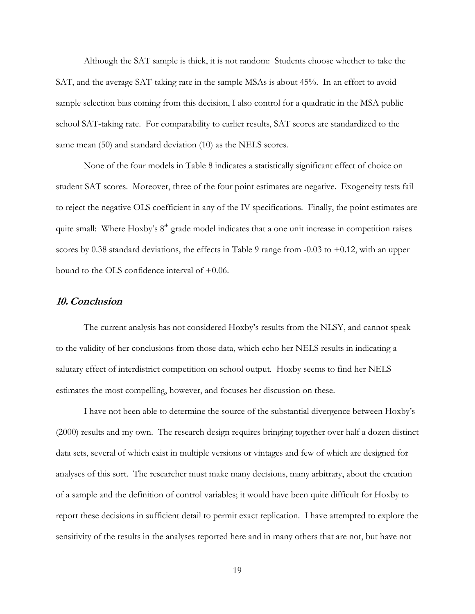Although the SAT sample is thick, it is not random: Students choose whether to take the SAT, and the average SAT-taking rate in the sample MSAs is about 45%. In an effort to avoid sample selection bias coming from this decision, I also control for a quadratic in the MSA public school SAT-taking rate. For comparability to earlier results, SAT scores are standardized to the same mean (50) and standard deviation (10) as the NELS scores.

None of the four models in Table 8 indicates a statistically significant effect of choice on student SAT scores. Moreover, three of the four point estimates are negative. Exogeneity tests fail to reject the negative OLS coefficient in any of the IV specifications. Finally, the point estimates are quite small: Where Hoxby's  $8<sup>th</sup>$  grade model indicates that a one unit increase in competition raises scores by 0.38 standard deviations, the effects in Table 9 range from  $-0.03$  to  $+0.12$ , with an upper bound to the OLS confidence interval of +0.06.

#### 10.Conclusion

The current analysis has not considered Hoxby's results from the NLSY, and cannot speak to the validity of her conclusions from those data, which echo her NELS results in indicating a salutary effect of interdistrict competition on school output. Hoxby seems to find her NELS estimates the most compelling, however, and focuses her discussion on these.

I have not been able to determine the source of the substantial divergence between Hoxby's (2000) results and my own. The research design requires bringing together over half a dozen distinct data sets, several of which exist in multiple versions or vintages and few of which are designed for analyses of this sort. The researcher must make many decisions, many arbitrary, about the creation of a sample and the definition of control variables; it would have been quite difficult for Hoxby to report these decisions in sufficient detail to permit exact replication. I have attempted to explore the sensitivity of the results in the analyses reported here and in many others that are not, but have not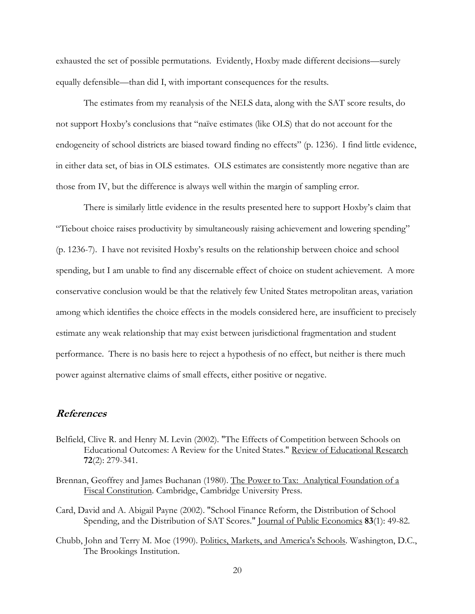exhausted the set of possible permutations. Evidently, Hoxby made different decisions—surely equally defensible—than did I, with important consequences for the results.

The estimates from my reanalysis of the NELS data, along with the SAT score results, do not support Hoxby's conclusions that "naïve estimates (like OLS) that do not account for the endogeneity of school districts are biased toward finding no effects" (p. 1236). I find little evidence, in either data set, of bias in OLS estimates. OLS estimates are consistently more negative than are those from IV, but the difference is always well within the margin of sampling error.

There is similarly little evidence in the results presented here to support Hoxby's claim that "Tiebout choice raises productivity by simultaneously raising achievement and lowering spending" (p. 1236-7). I have not revisited Hoxby's results on the relationship between choice and school spending, but I am unable to find any discernable effect of choice on student achievement. A more conservative conclusion would be that the relatively few United States metropolitan areas, variation among which identifies the choice effects in the models considered here, are insufficient to precisely estimate any weak relationship that may exist between jurisdictional fragmentation and student performance. There is no basis here to reject a hypothesis of no effect, but neither is there much power against alternative claims of small effects, either positive or negative.

## References

- Belfield, Clive R. and Henry M. Levin (2002). "The Effects of Competition between Schools on Educational Outcomes: A Review for the United States." Review of Educational Research 72(2): 279-341.
- Brennan, Geoffrey and James Buchanan (1980). The Power to Tax: Analytical Foundation of a Fiscal Constitution. Cambridge, Cambridge University Press.
- Card, David and A. Abigail Payne (2002). "School Finance Reform, the Distribution of School Spending, and the Distribution of SAT Scores." Journal of Public Economics 83(1): 49-82.
- Chubb, John and Terry M. Moe (1990). Politics, Markets, and America's Schools. Washington, D.C., The Brookings Institution.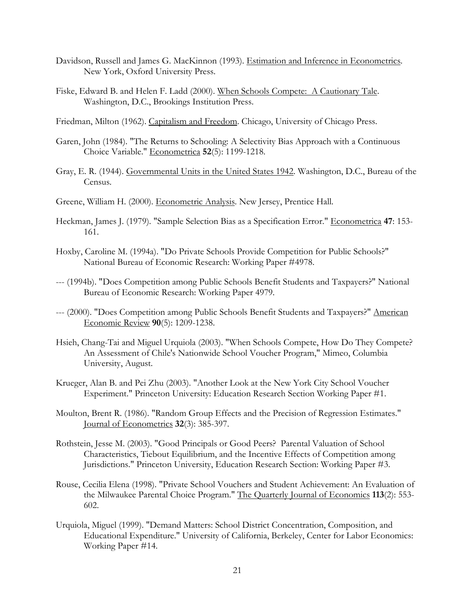- Davidson, Russell and James G. MacKinnon (1993). Estimation and Inference in Econometrics. New York, Oxford University Press.
- Fiske, Edward B. and Helen F. Ladd (2000). When Schools Compete: A Cautionary Tale. Washington, D.C., Brookings Institution Press.

Friedman, Milton (1962). Capitalism and Freedom. Chicago, University of Chicago Press.

- Garen, John (1984). "The Returns to Schooling: A Selectivity Bias Approach with a Continuous Choice Variable." Econometrica 52(5): 1199-1218.
- Gray, E. R. (1944). Governmental Units in the United States 1942. Washington, D.C., Bureau of the Census.
- Greene, William H. (2000). Econometric Analysis. New Jersey, Prentice Hall.
- Heckman, James J. (1979). "Sample Selection Bias as a Specification Error." Econometrica 47: 153- 161.
- Hoxby, Caroline M. (1994a). "Do Private Schools Provide Competition for Public Schools?" National Bureau of Economic Research: Working Paper #4978.
- --- (1994b). "Does Competition among Public Schools Benefit Students and Taxpayers?" National Bureau of Economic Research: Working Paper 4979.
- --- (2000). "Does Competition among Public Schools Benefit Students and Taxpayers?" American Economic Review 90(5): 1209-1238.
- Hsieh, Chang-Tai and Miguel Urquiola (2003). "When Schools Compete, How Do They Compete? An Assessment of Chile's Nationwide School Voucher Program," Mimeo, Columbia University, August.
- Krueger, Alan B. and Pei Zhu (2003). "Another Look at the New York City School Voucher Experiment." Princeton University: Education Research Section Working Paper #1.
- Moulton, Brent R. (1986). "Random Group Effects and the Precision of Regression Estimates." Journal of Econometrics 32(3): 385-397.
- Rothstein, Jesse M. (2003). "Good Principals or Good Peers? Parental Valuation of School Characteristics, Tiebout Equilibrium, and the Incentive Effects of Competition among Jurisdictions." Princeton University, Education Research Section: Working Paper #3.
- Rouse, Cecilia Elena (1998). "Private School Vouchers and Student Achievement: An Evaluation of the Milwaukee Parental Choice Program." The Quarterly Journal of Economics 113(2): 553- 602.
- Urquiola, Miguel (1999). "Demand Matters: School District Concentration, Composition, and Educational Expenditure." University of California, Berkeley, Center for Labor Economics: Working Paper #14.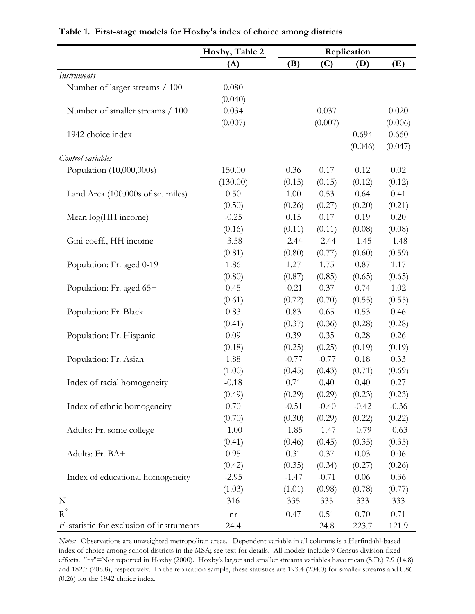|                                          | Hoxby, Table 2             | Replication |         |          |          |
|------------------------------------------|----------------------------|-------------|---------|----------|----------|
|                                          | (A)                        | (B)         | (C)     | (D)      | (E)      |
| <b>Instruments</b>                       |                            |             |         |          |          |
| Number of larger streams / 100           | 0.080                      |             |         |          |          |
|                                          | (0.040)                    |             |         |          |          |
| Number of smaller streams / 100          | 0.034                      |             | 0.037   |          | 0.020    |
|                                          | (0.007)                    |             | (0.007) |          | (0.006)  |
| 1942 choice index                        |                            |             |         | 0.694    | 0.660    |
|                                          |                            |             |         | (0.046)  | (0.047)  |
| Control variables                        |                            |             |         |          |          |
| Population (10,000,000s)                 | 150.00                     | 0.36        | 0.17    | 0.12     | 0.02     |
|                                          | (130.00)                   | (0.15)      | (0.15)  | (0.12)   | (0.12)   |
| Land Area (100,000s of sq. miles)        | 0.50                       | 1.00        | 0.53    | 0.64     | 0.41     |
|                                          | (0.50)                     | (0.26)      | (0.27)  | (0.20)   | (0.21)   |
| Mean log(HH income)                      | $-0.25$                    | 0.15        | 0.17    | 0.19     | 0.20     |
|                                          | (0.16)                     | (0.11)      | (0.11)  | (0.08)   | (0.08)   |
| Gini coeff., HH income                   | $-3.58$                    | $-2.44$     | $-2.44$ | $-1.45$  | $-1.48$  |
|                                          | (0.81)                     | (0.80)      | (0.77)  | (0.60)   | (0.59)   |
| Population: Fr. aged 0-19                | 1.86                       | 1.27        | 1.75    | 0.87     | 1.17     |
|                                          | (0.80)                     | (0.87)      | (0.85)  | (0.65)   | (0.65)   |
| Population: Fr. aged 65+                 | 0.45                       | $-0.21$     | 0.37    | 0.74     | 1.02     |
|                                          | (0.61)                     | (0.72)      | (0.70)  | (0.55)   | (0.55)   |
| Population: Fr. Black                    | 0.83                       | 0.83        | 0.65    | 0.53     | 0.46     |
|                                          | (0.41)                     | (0.37)      | (0.36)  | (0.28)   | (0.28)   |
| Population: Fr. Hispanic                 | 0.09                       | 0.39        | 0.35    | 0.28     | 0.26     |
|                                          | (0.18)                     | (0.25)      | (0.25)  | (0.19)   | (0.19)   |
| Population: Fr. Asian                    | 1.88                       | $-0.77$     | $-0.77$ | 0.18     | 0.33     |
|                                          | (1.00)                     | (0.45)      | (0.43)  | (0.71)   | (0.69)   |
| Index of racial homogeneity              | $-0.18$                    | 0.71        | 0.40    | 0.40     | 0.27     |
|                                          | (0.49)                     | (0.29)      | (0.29)  | (0.23)   | (0.23)   |
| Index of ethnic homogeneity              | 0.70                       | $-0.51$     | $-0.40$ | $-0.42$  | $-0.36$  |
|                                          | (0.70)                     | (0.30)      | (0.29)  | (0.22)   | (0.22)   |
| Adults: Fr. some college                 | $-1.00$                    | $-1.85$     | $-1.47$ | $-0.79$  | $-0.63$  |
|                                          | (0.41)                     | (0.46)      | (0.45)  | (0.35)   | (0.35)   |
| Adults: Fr. BA+                          | 0.95                       | 0.31        | 0.37    | 0.03     | $0.06\,$ |
|                                          | (0.42)                     | (0.35)      | (0.34)  | (0.27)   | (0.26)   |
| Index of educational homogeneity         | $-2.95$                    | $-1.47$     | $-0.71$ | $0.06\,$ | $0.36\,$ |
|                                          | (1.03)                     | (1.01)      | (0.98)  | (0.78)   | (0.77)   |
| N                                        | 316                        | 335         | 335     | 333      | 333      |
| $R^2$                                    | $\mathop{\rm nr}\nolimits$ | 0.47        | 0.51    | 0.70     | 0.71     |
| F-statistic for exclusion of instruments | 24.4                       |             | 24.8    | 223.7    | 121.9    |

**Table 1. First-stage models for Hoxby's index of choice among districts**

*Notes:* Observations are unweighted metropolitan areas. Dependent variable in all columns is a Herfindahl-based index of choice among school districts in the MSA; see text for details. All models include 9 Census division fixed effects. "nr"=Not reported in Hoxby (2000). Hoxby's larger and smaller streams variables have mean (S.D.) 7.9 (14.8) and 182.7 (208.8), respectively. In the replication sample, these statistics are 193.4 (204.0) for smaller streams and 0.86 (0.26) for the 1942 choice index.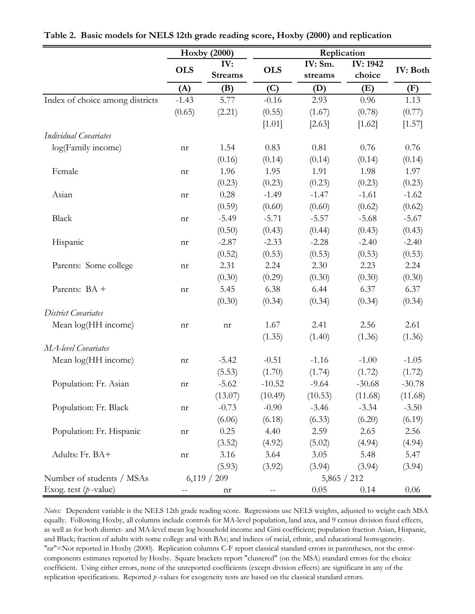|                                 |                            | <b>Hoxby (2000)</b>   | Replication |                    |                           |                 |  |
|---------------------------------|----------------------------|-----------------------|-------------|--------------------|---------------------------|-----------------|--|
|                                 | <b>OLS</b>                 | IV:<br><b>Streams</b> | <b>OLS</b>  | IV: Sm.<br>streams | <b>IV: 1942</b><br>choice | <b>IV: Both</b> |  |
|                                 | (A)                        | (B)                   | (C)         | (D)                | (E)                       | (F)             |  |
| Index of choice among districts | $-1.43$                    | 5.77                  | $-0.16$     | 2.93               | 0.96                      | 1.13            |  |
|                                 | (0.65)                     | (2.21)                | (0.55)      | (1.67)             | (0.78)                    | (0.77)          |  |
|                                 |                            |                       | [1.01]      | [2.63]             | [1.62]                    | [1.57]          |  |
| Individual Covariates           |                            |                       |             |                    |                           |                 |  |
| log(Family income)              | nr                         | 1.54                  | 0.83        | 0.81               | 0.76                      | 0.76            |  |
|                                 |                            | (0.16)                | (0.14)      | (0.14)             | (0.14)                    | (0.14)          |  |
| Female                          | nr                         | 1.96                  | 1.95        | 1.91               | 1.98                      | 1.97            |  |
|                                 |                            | (0.23)                | (0.23)      | (0.23)             | (0.23)                    | (0.23)          |  |
| Asian                           | nr                         | 0.28                  | $-1.49$     | $-1.47$            | $-1.61$                   | $-1.62$         |  |
|                                 |                            | (0.59)                | (0.60)      | (0.60)             | (0.62)                    | (0.62)          |  |
| Black                           | nr                         | $-5.49$               | $-5.71$     | $-5.57$            | $-5.68$                   | $-5.67$         |  |
|                                 |                            | (0.50)                | (0.43)      | (0.44)             | (0.43)                    | (0.43)          |  |
| Hispanic                        | nr                         | $-2.87$               | $-2.33$     | $-2.28$            | $-2.40$                   | $-2.40$         |  |
|                                 |                            | (0.52)                | (0.53)      | (0.53)             | (0.53)                    | (0.53)          |  |
| Parents: Some college           | nr                         | 2.31                  | 2.24        | 2.30               | 2.23                      | 2.24            |  |
|                                 |                            | (0.30)                | (0.29)      | (0.30)             | (0.30)                    | (0.30)          |  |
| Parents: BA +                   | nr                         | 5.45                  | 6.38        | 6.44               | 6.37                      | 6.37            |  |
|                                 |                            | (0.30)                | (0.34)      | (0.34)             | (0.34)                    | (0.34)          |  |
| District Covariates             |                            |                       |             |                    |                           |                 |  |
| Mean log(HH income)             | nr                         | nr                    | 1.67        | 2.41               | 2.56                      | 2.61            |  |
|                                 |                            |                       | (1.35)      | (1.40)             | (1.36)                    | (1.36)          |  |
| MA-level Covariates             |                            |                       |             |                    |                           |                 |  |
| Mean log(HH income)             | nr                         | $-5.42$               | $-0.51$     | $-1.16$            | $-1.00$                   | $-1.05$         |  |
|                                 |                            | (5.53)                | (1.70)      | (1.74)             | (1.72)                    | (1.72)          |  |
| Population: Fr. Asian           | nr                         | $-5.62$               | $-10.52$    | $-9.64$            | $-30.68$                  | $-30.78$        |  |
|                                 |                            | (13.07)               | (10.49)     | (10.53)            | (11.68)                   | (11.68)         |  |
| Population: Fr. Black           | $\mathop{\rm nr}\nolimits$ | $-0.73$               | $-0.90$     | $-3.46$            | $-3.34$                   | $-3.50$         |  |
|                                 |                            | (6.06)                | (6.18)      | (6.33)             | (6.20)                    | (6.19)          |  |
| Population: Fr. Hispanic        | nr                         | 0.25                  | 4.40        | 2.59               | 2.65                      | 2.56            |  |
|                                 |                            | (3.52)                | (4.92)      | (5.02)             | (4.94)                    | (4.94)          |  |
| Adults: Fr. BA+                 | nr                         | 3.16                  | 3.64        | 3.05               | 5.48                      | 5.47            |  |
|                                 |                            | (5.93)                | (3.92)      | (3.94)             | (3.94)                    | (3.94)          |  |
| Number of students / MSAs       |                            | 6,119 / 209           |             | 5,865 / 212        |                           |                 |  |
| Exog. test $(p$ -value)         |                            | nr                    |             | 0.05               | 0.14                      | $0.06\,$        |  |

**Table 2. Basic models for NELS 12th grade reading score, Hoxby (2000) and replication**

*Notes:* Dependent variable is the NELS 12th grade reading score. Regressions use NELS weights, adjusted to weight each MSA equally. Following Hoxby, all columns include controls for MA-level population, land area, and 9 census division fixed effects, as well as for both district- and MA-level mean log household income and Gini coefficient; population fraction Asian, Hispanic, and Black; fraction of adults with some college and with BAs; and indices of racial, ethnic, and educational homogeneity. "nr"=Not reported in Hoxby (2000). Replication columns C-F report classical standard errors in parentheses, not the errorcomponents estimates reported by Hoxby. Square brackets report "clustered" (on the MSA) standard errors for the choice coefficient. Using either errors, none of the unreported coefficients (except division effects) are significant in any of the replication specifications. Reported *p* -values for exogeneity tests are based on the classical standard errors.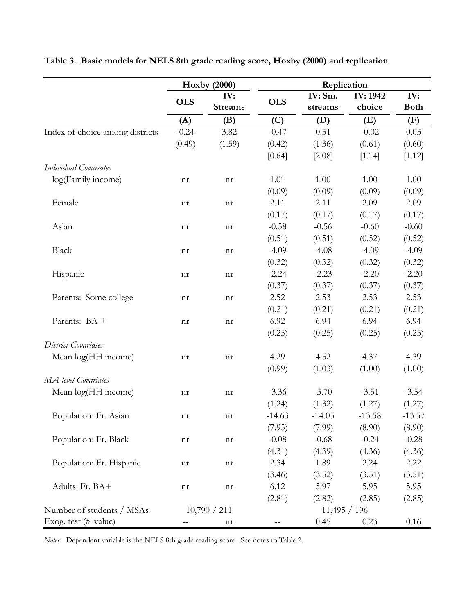|                                 |                   | <b>Hoxby (2000)</b>        | Replication       |            |                 |             |
|---------------------------------|-------------------|----------------------------|-------------------|------------|-----------------|-------------|
|                                 |                   | IV:                        |                   | IV: Sm.    | <b>IV: 1942</b> | IV:         |
|                                 | <b>OLS</b>        | <b>Streams</b>             | <b>OLS</b>        | streams    | choice          | <b>Both</b> |
|                                 | (A)               | (B)                        | (C)               | (D)        | (E)             | (F)         |
| Index of choice among districts | $-0.24$           | 3.82                       | $-0.47$           | 0.51       | $-0.02$         | 0.03        |
|                                 | (0.49)            | (1.59)                     | (0.42)            | (1.36)     | (0.61)          | (0.60)      |
|                                 |                   |                            | [0.64]            | [2.08]     | [1.14]          | [1.12]      |
| <b>Individual Covariates</b>    |                   |                            |                   |            |                 |             |
| log(Family income)              | nr                | nr                         | 1.01              | 1.00       | 1.00            | 1.00        |
|                                 |                   |                            | (0.09)            | (0.09)     | (0.09)          | (0.09)      |
| Female                          | nr                | nr                         | 2.11              | 2.11       | 2.09            | 2.09        |
|                                 |                   |                            | (0.17)            | (0.17)     | (0.17)          | (0.17)      |
| Asian                           | nr                | $\mathop{\rm nr}\nolimits$ | $-0.58$           | $-0.56$    | $-0.60$         | $-0.60$     |
|                                 |                   |                            | (0.51)            | (0.51)     | (0.52)          | (0.52)      |
| <b>Black</b>                    | nr                | nr                         | $-4.09$           | $-4.08$    | $-4.09$         | $-4.09$     |
|                                 |                   |                            | (0.32)            | (0.32)     | (0.32)          | (0.32)      |
| Hispanic                        | nr                | nr                         | $-2.24$           | $-2.23$    | $-2.20$         | $-2.20$     |
|                                 |                   |                            | (0.37)            | (0.37)     | (0.37)          | (0.37)      |
| Parents: Some college           | nr                | nr                         | 2.52              | 2.53       | 2.53            | 2.53        |
|                                 |                   |                            | (0.21)            | (0.21)     | (0.21)          | (0.21)      |
| Parents: BA +                   | nr                | nr                         | 6.92              | 6.94       | 6.94            | 6.94        |
|                                 |                   |                            | (0.25)            | (0.25)     | (0.25)          | (0.25)      |
| District Covariates             |                   |                            |                   |            |                 |             |
| Mean log(HH income)             | nr                | nr                         | 4.29              | 4.52       | 4.37            | 4.39        |
|                                 |                   |                            | (0.99)            | (1.03)     | (1.00)          | (1.00)      |
| MA-level Covariates             |                   |                            |                   |            |                 |             |
| Mean log(HH income)             | nr                | nr                         | $-3.36$           | $-3.70$    | $-3.51$         | $-3.54$     |
|                                 |                   |                            | (1.24)            | (1.32)     | (1.27)          | (1.27)      |
| Population: Fr. Asian           | nr                | nr                         | $-14.63$          | $-14.05$   | $-13.58$        | $-13.57$    |
|                                 |                   |                            | (7.95)            | (7.99)     | (8.90)          | (8.90)      |
| Population: Fr. Black           | nr                | $\mathop{\rm nr}\nolimits$ | $-0.08$           | $-0.68$    | $-0.24$         | $-0.28$     |
|                                 |                   |                            | (4.31)            | (4.39)     | (4.36)          | (4.36)      |
| Population: Fr. Hispanic        | nr                | nr                         | 2.34              | 1.89       | 2.24            | 2.22        |
|                                 |                   |                            | (3.46)            | (3.52)     | (3.51)          | (3.51)      |
| Adults: Fr. BA+                 | nr                | $\mathop{\rm nr}\nolimits$ | 6.12              | 5.97       | 5.95            | 5.95        |
|                                 |                   |                            | (2.81)            | (2.82)     | (2.85)          | (2.85)      |
| Number of students / MSAs       |                   | 10,790 / 211               |                   | 11,495/196 |                 |             |
| Exog. test $(p$ -value)         | $\qquad \qquad -$ | nr                         | $\qquad \qquad -$ | 0.45       | 0.23            | 0.16        |

**Table 3. Basic models for NELS 8th grade reading score, Hoxby (2000) and replication**

*Notes:* Dependent variable is the NELS 8th grade reading score. See notes to Table 2.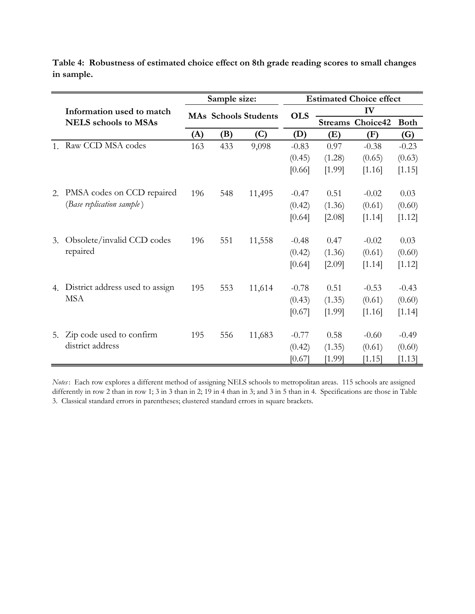|                |                                 | Sample size: |     |                             | <b>Estimated Choice effect</b> |                |          |             |  |
|----------------|---------------------------------|--------------|-----|-----------------------------|--------------------------------|----------------|----------|-------------|--|
|                | Information used to match       |              |     | <b>MAs Schools Students</b> | <b>OLS</b>                     |                | IV       |             |  |
|                | <b>NELS</b> schools to MSAs     |              |     |                             |                                | <b>Streams</b> | Choice42 | <b>Both</b> |  |
|                |                                 | (A)          | (B) | (C)                         | (D)                            | (E)            | (F)      | (G)         |  |
| $\mathbf{1}$ . | Raw CCD MSA codes               | 163          | 433 | 9,098                       | $-0.83$                        | 0.97           | $-0.38$  | $-0.23$     |  |
|                |                                 |              |     |                             | (0.45)                         | (1.28)         | (0.65)   | (0.63)      |  |
|                |                                 |              |     |                             | [0.66]                         | [1.99]         | [1.16]   | [1.15]      |  |
| 2.             | PMSA codes on CCD repaired      | 196          | 548 | 11,495                      | $-0.47$                        | 0.51           | $-0.02$  | 0.03        |  |
|                | (Base replication sample)       |              |     |                             | (0.42)                         | (1.36)         | (0.61)   | (0.60)      |  |
|                |                                 |              |     |                             | [0.64]                         | [2.08]         | [1.14]   | [1.12]      |  |
| 3.             | Obsolete/invalid CCD codes      | 196          | 551 | 11,558                      | $-0.48$                        | 0.47           | $-0.02$  | 0.03        |  |
|                | repaired                        |              |     |                             | (0.42)                         | (1.36)         | (0.61)   | (0.60)      |  |
|                |                                 |              |     |                             | [0.64]                         | [2.09]         | [1.14]   | [1.12]      |  |
| 4.             | District address used to assign | 195          | 553 | 11,614                      | $-0.78$                        | 0.51           | $-0.53$  | $-0.43$     |  |
|                | <b>MSA</b>                      |              |     |                             | (0.43)                         | (1.35)         | (0.61)   | (0.60)      |  |
|                |                                 |              |     |                             | [0.67]                         | [1.99]         | [1.16]   | [1.14]      |  |
|                |                                 |              |     |                             |                                |                |          |             |  |
| 5.             | Zip code used to confirm        | 195          | 556 | 11,683                      | $-0.77$                        | 0.58           | $-0.60$  | $-0.49$     |  |
|                | district address                |              |     |                             | (0.42)                         | (1.35)         | (0.61)   | (0.60)      |  |
|                |                                 |              |     |                             | [0.67]                         | [1.99]         | [1.15]   | [1.13]      |  |

**Table 4: Robustness of estimated choice effect on 8th grade reading scores to small changes in sample.**

*Notes* : Each row explores a different method of assigning NELS schools to metropolitan areas. 115 schools are assigned differently in row 2 than in row 1; 3 in 3 than in 2; 19 in 4 than in 3; and 3 in 5 than in 4. Specifications are those in Table 3. Classical standard errors in parentheses; clustered standard errors in square brackets.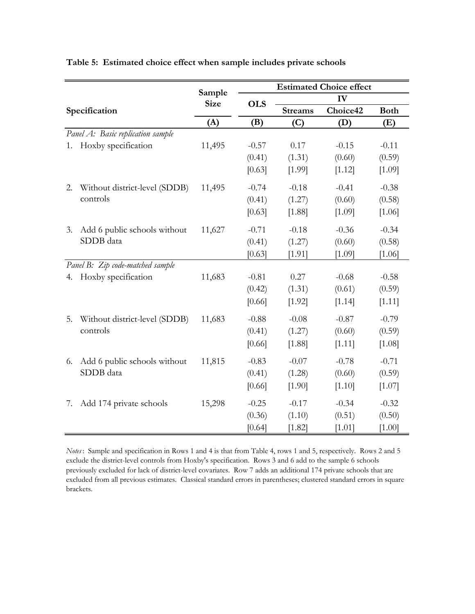|               |                                   |                       | <b>Estimated Choice effect</b> |                |          |             |
|---------------|-----------------------------------|-----------------------|--------------------------------|----------------|----------|-------------|
|               |                                   | Sample<br><b>Size</b> | <b>OLS</b>                     |                | IV       |             |
| Specification |                                   |                       |                                | <b>Streams</b> | Choice42 | <b>Both</b> |
|               |                                   | (A)                   | (B)                            | (C)            | (D)      | (E)         |
|               | Panel A: Basic replication sample |                       |                                |                |          |             |
| 1.            | Hoxby specification               | 11,495                | $-0.57$                        | 0.17           | $-0.15$  | $-0.11$     |
|               |                                   |                       | (0.41)                         | (1.31)         | (0.60)   | (0.59)      |
|               |                                   |                       | [0.63]                         | [1.99]         | [1.12]   | [1.09]      |
| 2.            | Without district-level (SDDB)     | 11,495                | $-0.74$                        | $-0.18$        | $-0.41$  | $-0.38$     |
|               | controls                          |                       | (0.41)                         | (1.27)         | (0.60)   | (0.58)      |
|               |                                   |                       | [0.63]                         | [1.88]         | [1.09]   | [1.06]      |
| 3.            | Add 6 public schools without      | 11,627                | $-0.71$                        | $-0.18$        | $-0.36$  | $-0.34$     |
|               | SDDB data                         |                       | (0.41)                         | (1.27)         | (0.60)   | (0.58)      |
|               |                                   |                       | [0.63]                         | [1.91]         | [1.09]   | [1.06]      |
|               | Panel B: Zip code-matched sample  |                       |                                |                |          |             |
| 4.            | Hoxby specification               | 11,683                | $-0.81$                        | 0.27           | $-0.68$  | $-0.58$     |
|               |                                   |                       | (0.42)                         | (1.31)         | (0.61)   | (0.59)      |
|               |                                   |                       | [0.66]                         | [1.92]         | [1.14]   | [1.11]      |
| 5.            | Without district-level (SDDB)     | 11,683                | $-0.88$                        | $-0.08$        | $-0.87$  | $-0.79$     |
|               | controls                          |                       | (0.41)                         | (1.27)         | (0.60)   | (0.59)      |
|               |                                   |                       | [0.66]                         | [1.88]         | [1.11]   | [1.08]      |
| 6.            | Add 6 public schools without      | 11,815                | $-0.83$                        | $-0.07$        | $-0.78$  | $-0.71$     |
|               | SDDB data                         |                       | (0.41)                         | (1.28)         | (0.60)   | (0.59)      |
|               |                                   |                       | [0.66]                         | [1.90]         | [1.10]   | [1.07]      |
| 7.            | Add 174 private schools           | 15,298                | $-0.25$                        | $-0.17$        | $-0.34$  | $-0.32$     |
|               |                                   |                       | (0.36)                         | (1.10)         | (0.51)   | (0.50)      |
|               |                                   |                       | [0.64]                         | [1.82]         | [1.01]   | [1.00]      |

**Table 5: Estimated choice effect when sample includes private schools**

*Notes* : Sample and specification in Rows 1 and 4 is that from Table 4, rows 1 and 5, respectively. Rows 2 and 5 exclude the district-level controls from Hoxby's specification. Rows 3 and 6 add to the sample 6 schools previously excluded for lack of district-level covariates. Row 7 adds an additional 174 private schools that are excluded from all previous estimates. Classical standard errors in parentheses; clustered standard errors in square brackets.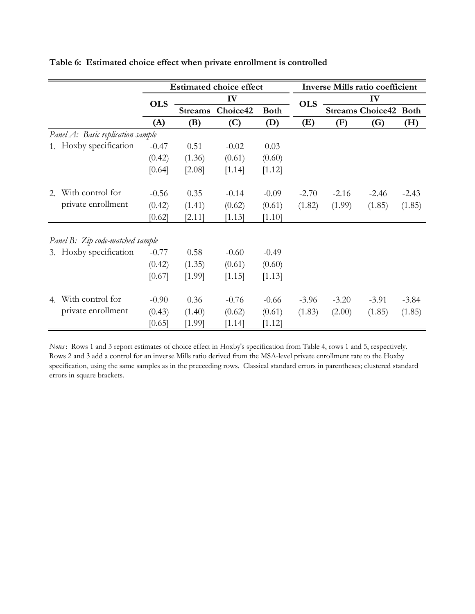|    |                                   |            |                | <b>Estimated choice effect</b> |             |            | <b>Inverse Mills ratio coefficient</b> |                         |             |  |
|----|-----------------------------------|------------|----------------|--------------------------------|-------------|------------|----------------------------------------|-------------------------|-------------|--|
|    |                                   | <b>OLS</b> |                | IV                             |             | <b>OLS</b> | IV                                     |                         |             |  |
|    |                                   |            | <b>Streams</b> | Choice42                       | <b>Both</b> |            |                                        | <b>Streams Choice42</b> | <b>Both</b> |  |
|    |                                   | (A)        | (B)            | (C)                            | (D)         | (E)        | (F)                                    | (G)                     | (H)         |  |
|    | Panel A: Basic replication sample |            |                |                                |             |            |                                        |                         |             |  |
|    | 1. Hoxby specification            | $-0.47$    | 0.51           | $-0.02$                        | 0.03        |            |                                        |                         |             |  |
|    |                                   | (0.42)     | (1.36)         | (0.61)                         | (0.60)      |            |                                        |                         |             |  |
|    |                                   | [0.64]     | [2.08]         | [1.14]                         | [1.12]      |            |                                        |                         |             |  |
| 2. | With control for                  | $-0.56$    | 0.35           | $-0.14$                        | $-0.09$     | $-2.70$    | $-2.16$                                | $-2.46$                 | $-2.43$     |  |
|    | private enrollment                | (0.42)     | (1.41)         | (0.62)                         | (0.61)      | (1.82)     | (1.99)                                 | (1.85)                  | (1.85)      |  |
|    |                                   | [0.62]     | [2.11]         | [1.13]                         | [1.10]      |            |                                        |                         |             |  |
|    | Panel B: Zip code-matched sample  |            |                |                                |             |            |                                        |                         |             |  |
|    | 3. Hoxby specification            | $-0.77$    | 0.58           | $-0.60$                        | $-0.49$     |            |                                        |                         |             |  |
|    |                                   | (0.42)     | (1.35)         | (0.61)                         | (0.60)      |            |                                        |                         |             |  |
|    |                                   | [0.67]     | [1.99]         | [1.15]                         | [1.13]      |            |                                        |                         |             |  |
| 4. | With control for                  | $-0.90$    | 0.36           | $-0.76$                        | $-0.66$     | $-3.96$    | $-3.20$                                | $-3.91$                 | $-3.84$     |  |
|    | private enrollment                | (0.43)     | (1.40)         | (0.62)                         | (0.61)      | (1.83)     | (2.00)                                 | (1.85)                  | (1.85)      |  |
|    |                                   | [0.65]     | [1.99]         | [1.14]                         | [1.12]      |            |                                        |                         |             |  |

**Table 6: Estimated choice effect when private enrollment is controlled**

*Notes* : Rows 1 and 3 report estimates of choice effect in Hoxby's specification from Table 4, rows 1 and 5, respectively. Rows 2 and 3 add a control for an inverse Mills ratio derived from the MSA-level private enrollment rate to the Hoxby specification, using the same samples as in the preceeding rows. Classical standard errors in parentheses; clustered standard errors in square brackets.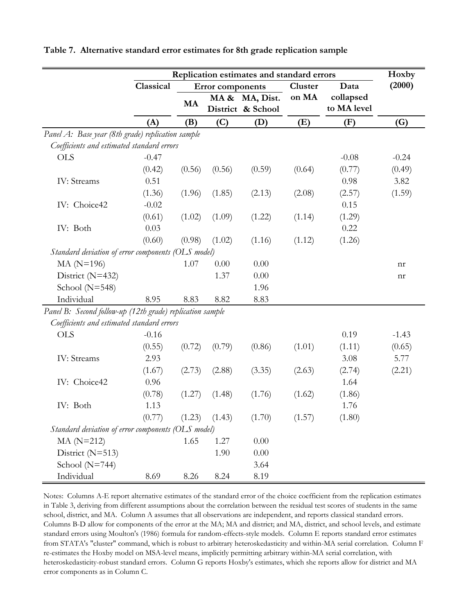| Replication estimates and standard errors                 |           |           |                         |                   |         |             | Hoxby   |
|-----------------------------------------------------------|-----------|-----------|-------------------------|-------------------|---------|-------------|---------|
|                                                           | Classical |           | <b>Error</b> components |                   | Cluster | Data        | (2000)  |
|                                                           |           | <b>MA</b> |                         | MA & MA, Dist.    | on MA   | collapsed   |         |
|                                                           |           |           |                         | District & School |         | to MA level |         |
|                                                           | (A)       | (B)       | (C)                     | (D)               | (E)     | (F)         | (G)     |
| Panel A: Base year (8th grade) replication sample         |           |           |                         |                   |         |             |         |
| Coefficients and estimated standard errors                |           |           |                         |                   |         |             |         |
| <b>OLS</b>                                                | $-0.47$   |           |                         |                   |         | $-0.08$     | $-0.24$ |
|                                                           | (0.42)    | (0.56)    | (0.56)                  | (0.59)            | (0.64)  | (0.77)      | (0.49)  |
| <b>IV:</b> Streams                                        | 0.51      |           |                         |                   |         | 0.98        | 3.82    |
|                                                           | (1.36)    | (1.96)    | (1.85)                  | (2.13)            | (2.08)  | (2.57)      | (1.59)  |
| IV: Choice42                                              | $-0.02$   |           |                         |                   |         | 0.15        |         |
|                                                           | (0.61)    | (1.02)    | (1.09)                  | (1.22)            | (1.14)  | (1.29)      |         |
| IV: Both                                                  | 0.03      |           |                         |                   |         | 0.22        |         |
|                                                           | (0.60)    | (0.98)    | (1.02)                  | (1.16)            | (1.12)  | (1.26)      |         |
| Standard deviation of error components (OLS model)        |           |           |                         |                   |         |             |         |
| $MA (N=196)$                                              |           | 1.07      | 0.00                    | 0.00              |         |             | nr      |
| District (N=432)                                          |           |           | 1.37                    | 0.00              |         |             | nr      |
| School $(N=548)$                                          |           |           |                         | 1.96              |         |             |         |
| Individual                                                | 8.95      | 8.83      | 8.82                    | 8.83              |         |             |         |
| Panel B: Second follow-up (12th grade) replication sample |           |           |                         |                   |         |             |         |
| Coefficients and estimated standard errors                |           |           |                         |                   |         |             |         |
| <b>OLS</b>                                                | $-0.16$   |           |                         |                   |         | 0.19        | $-1.43$ |
|                                                           | (0.55)    | (0.72)    | (0.79)                  | (0.86)            | (1.01)  | (1.11)      | (0.65)  |
| <b>IV:</b> Streams                                        | 2.93      |           |                         |                   |         | 3.08        | 5.77    |
|                                                           | (1.67)    | (2.73)    | (2.88)                  | (3.35)            | (2.63)  | (2.74)      | (2.21)  |
| IV: Choice42                                              | 0.96      |           |                         |                   |         | 1.64        |         |
|                                                           | (0.78)    | (1.27)    | (1.48)                  | (1.76)            | (1.62)  | (1.86)      |         |
| IV: Both                                                  | 1.13      |           |                         |                   |         | 1.76        |         |
|                                                           | (0.77)    | (1.23)    | (1.43)                  | (1.70)            | (1.57)  | (1.80)      |         |
| Standard deviation of error components (OLS model)        |           |           |                         |                   |         |             |         |
| $MA (N=212)$                                              |           | 1.65      | 1.27                    | 0.00              |         |             |         |
| District (N=513)                                          |           |           | 1.90                    | 0.00              |         |             |         |
| School $(N=744)$                                          |           |           |                         | 3.64              |         |             |         |
| Individual                                                | 8.69      | 8.26      | 8.24                    | 8.19              |         |             |         |

**Table 7. Alternative standard error estimates for 8th grade replication sample**

Notes: Columns A-E report alternative estimates of the standard error of the choice coefficient from the replication estimates in Table 3, deriving from different assumptions about the correlation between the residual test scores of students in the same school, district, and MA. Column A assumes that all observations are independent, and reports classical standard errors. Columns B-D allow for components of the error at the MA; MA and district; and MA, district, and school levels, and estimate standard errors using Moulton's (1986) formula for random-effects-style models. Column E reports standard error estimates from STATA's "cluster" command, which is robust to arbitrary heteroskedasticity and within-MA serial correlation. Column F re-estimates the Hoxby model on MSA-level means, implicitly permitting arbitrary within-MA serial correlation, with heteroskedasticity-robust standard errors. Column G reports Hoxby's estimates, which she reports allow for district and MA error components as in Column C.